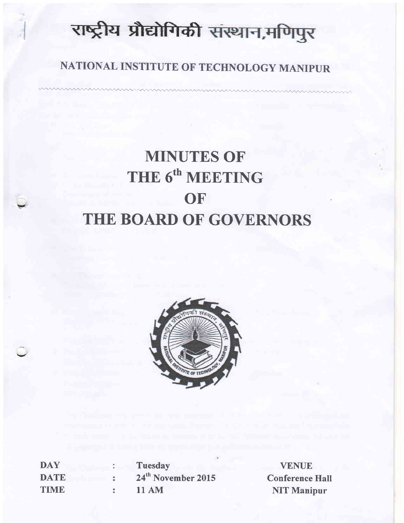# राष्ट्रीय प्रौद्योगिकी संस्थान,मणिपुर

# NATIONAL INSTITUTE OF TECHNOLOGY MANIPUR

# MINUTES OF THE 6<sup>th</sup> MEETING **OF** THE BOARD OF GOVERNORS



| <b>DAY</b>  | <b>Tuesday</b>                 |
|-------------|--------------------------------|
| <b>DATE</b> | 24 <sup>th</sup> November 2015 |
| <b>TIME</b> | <b>11 AM</b>                   |

 $\ddot{\phantom{0}}$ 

VENUE Conference Hall NIT Manipur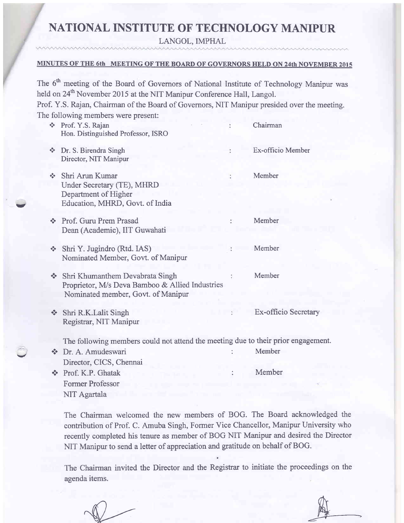# NATIONAL INSTITUTE OF TECHNOLOGY MANIPUR

LANGOL, IMPHAL

#### MINUTES OF THE 6th MEETING OF THE BOARD OF GOVERNORS HELD ON 24th NOVEMBER <sup>2015</sup>

The 6<sup>th</sup> meeting of the Board of Governors of National Institute of Technology Manipur was held on 24<sup>th</sup> November 2015 at the NIT Manipur Conference Hall, Langol. Prof. Y.S. Rajan, Chairman of the Board of Governors, NIT Manipur presided over the meeting.

|                                        | The following members were present:                                                                                      |                             |
|----------------------------------------|--------------------------------------------------------------------------------------------------------------------------|-----------------------------|
|                                        | Prof. Y.S. Rajan<br>Hon. Distinguished Professor, ISRO                                                                   | Chairman                    |
| $\Phi_{\rm eff}^{\rm R}$               | Dr. S. Birendra Singh<br>Director, NIT Manipur                                                                           | Ex-officio Member           |
| $\sigma_{\rm eff}^{\rm 0}$             | Shri Arun Kumar<br>Under Secretary (TE), MHRD<br>Department of Higher<br>Education, MHRD, Govt. of India                 | Member                      |
| $\mathbf{e}^{\mathbf{e}}_{\mathbf{e}}$ | Prof. Guru Prem Prasad<br>Dean (Academic), IIT Guwahati                                                                  | Member                      |
| $\frac{1}{2}$                          | Shri Y. Jugindro (Rtd. IAS)<br>Nominated Member, Govt. of Manipur                                                        | Member                      |
| $\mathcal{L}_{\mathcal{A}}$            | Shri Khumanthem Devabrata Singh<br>Proprietor, M/s Deva Bamboo & Allied Industries<br>Nominated member, Govt. of Manipur | Member                      |
| $\frac{1}{2}$                          | Shri R.K.Lalit Singh<br>Registrar, NIT Manipur                                                                           | <b>Ex-officio Secretary</b> |
|                                        | The following members could not attend the meeting due to their prior engagement                                         |                             |
| $\frac{1}{2}$                          | Dr. A. Amudeswari<br>Director, CICS, Chennai                                                                             | Member                      |
|                                        | Prof. K.P. Ghatak<br><b>Former Professor</b><br>NIT Agartala                                                             | Member                      |
|                                        |                                                                                                                          |                             |

The Chairman welcomed the new members of BOG. The Board acknowledged the contribution of Prof. C. Amuba Singh, Former Vice Chancellor, Manipur University who recently completed his tenure as member of BOG NIT Manipur and desired the Director NIT Manipur to send a letter of appreciation and gratitude on behalf of BOG.

The Chairman invited the Director and the Registrar to initiate the proceedings on the agenda items.

-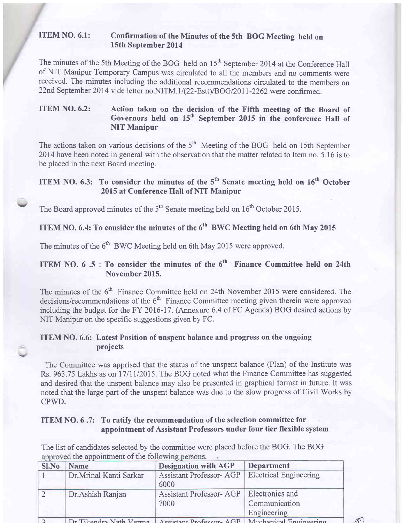#### ITEM NO. 6.1: Confirmation of the Minutes of the sth BOG Meeting held on 15th September 2014

The minutes of the 5th Meeting of the BOG held on 15<sup>th</sup> September 2014 at the Conference Hall of NIT Manipur Temporary Campus was circulated to all the members and no comments were received. The minutes including the additional recommendations circulated to the members on 22nd September 2014 vide letter no.NITM.1/(22-Estt)/BOG/2011-2262 were confirmed.

#### ITEM NO. 6.2: Action taken on the decision of the Fifth meeting of the Board of Governors held on 15<sup>th</sup> September 2015 in the conference Hall of NIT Manipur

The actions taken on various decisions of the  $5<sup>th</sup>$  Meeting of the BOG held on 15th September 2014 have been noted in general with the observation that the matter related to Item no. 5.16 is to be placed in the next Board meeting.

### ITEM NO. 6.3: To consider the minutes of the  $5<sup>th</sup>$  Senate meeting held on  $16<sup>th</sup>$  October 2015 at Conference Hall of NIT Manipur

The Board approved minutes of the  $5<sup>th</sup>$  Senate meeting held on  $16<sup>th</sup>$  October 2015.

## ITEM NO. 6.4: To consider the minutes of the  $6^{th}$  BWC Meeting held on 6th May 2015

The minutes of the  $6<sup>th</sup>$  BWC Meeting held on 6th May 2015 were approved.

#### ITEM NO.  $6.5$ : To consider the minutes of the  $6<sup>th</sup>$  Finance Committee held on 24th November 2015.

The minutes of the 6<sup>th</sup> Finance Committee held on 24th November 2015 were considered. The decisions/recommendations of the  $6<sup>th</sup>$  Finance Committee meeting given therein were approved including the budget for the FY 2016-17. (Annexure 6.4 of FC Agenda) BOG desired actions by NIT Manipur on the specific suggestions given by FC.

#### ITEM NO. 6.6: Latest Position of unspent balance and progress on the ongoing projects

The Committee was apprised that the status of the unspent balance (Plan) of the Institute was Rs. 963.75 Lakhs as on 17/11/2015. The BOG noted what the Finance Committee has suggested and desired that the unspent balance may also be presented in graphical format in future. It was noted that the large part of the unspent balance was due to the slow progress of Civil Works by CPWD.

#### ITEM NO. 6 .7: To ratify the recommendation of the selection committee for appointment of Assistant Professors under four tier flexible system

The list of candidates selected by the committee were placed before the BOG. The BOG approved the appointment of the following persons.

| Sl.No | <b>Name</b>            | <b>Designation with AGP</b>                                             | <b>Department</b>             |  |
|-------|------------------------|-------------------------------------------------------------------------|-------------------------------|--|
|       | Dr.Mrinal Kanti Sarkar | <b>Assistant Professor-AGP</b><br>6000                                  | <b>Electrical Engineering</b> |  |
|       | Dr. Ashish Ranjan      | Assistant Professor-AGP   Electronics and                               |                               |  |
|       |                        | 7000                                                                    | Communication                 |  |
|       |                        |                                                                         | Engineering                   |  |
|       |                        | Dr Tikendra Nath Verma Assistant Professor-AGP   Mechanical Fnoineering |                               |  |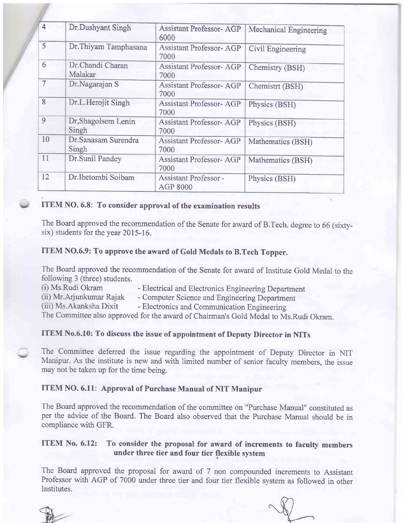| $\overline{4}$    | Dr.Dushyant Singh             | <b>Assistant Professor-AGP</b><br>6000 | Mechanical Engineering |  |
|-------------------|-------------------------------|----------------------------------------|------------------------|--|
| $\overline{5}$    | Dr. Thiyam Tamphasana         | <b>Assistant Professor-AGP</b><br>7000 | Civil Engineering      |  |
| 6                 | Dr.Chandi Charan<br>Malakar   | <b>Assistant Professor-AGP</b><br>7000 | Chemistry (BSH)        |  |
| $\overline{\tau}$ | Dr.Nagarajan S                | <b>Assistant Professor-AGP</b><br>7000 | Chemistrt (BSH)        |  |
| 8                 | Dr.L.Herojit Singh            | <b>Assistant Professor-AGP</b><br>7000 | Physics (BSH)          |  |
| 9                 | Dr, Shagolsem Lenin<br>Singh  | <b>Assistant Professor-AGP</b><br>7000 | Physics (BSH)          |  |
| 10                | Dr. Sanasam Surendra<br>Singh | <b>Assistant Professor-AGP</b><br>7000 | Mathematics (BSH)      |  |
| 11                | Dr.Sunil Pandey               | <b>Assistant Professor-AGP</b><br>7000 | Mathematics (BSH)      |  |
| 12                | Dr.Ibetombi Soibam            | Assistant Professor -<br>AGP 8000      | Physics (BSH)          |  |

#### ITEM NO. 6.8: To consider approval of the examination results

The Board approved the recommendation of the Senate for award of B.Tech. degree to 66 (sixtysix) students for the year 2015-16.

#### ITEM NO.6.9: To approve the award of Gold Medals to B.Tech Topper.

The Board approved the recommendation of the Senate for award of Institute Gold Medal to the following 3 (three) students.

- (i) Ms.Rudi Okram Electrical and Electronics Engineering Department<br>
(ii) Mr.Arjunkumar Rajak Computer Science and Engineering Department
- (ii) Mr.Arjunkumar Rajak Computer Science and Engineering Department<br>
(iii) Ms.Akanksha Dixit Electronics and Communication Engineering

- Electronics and Communication Engineering

The Committee also approved for the award of Chairman's Gold Medal to Ms.Rudi Okram.

#### ITEM No.6.10: To discuss the issue of appointment of Depufy Director in NITs

The Committee deferred the issue regarding the appointment of Deputy Director in NIT Manipw. As the institute is new and with limited number of senior faculty members, the issue may not be taken up for the time being.

#### ITEM NO.6.11: Approval of Purchase Manual of NIT Manipur

The Board approved the recommendation of the committee on "Purchase Manual" constituted as per the advice of the Board. The Board also observed that the Purchase Manual should be in compliance with GFR.

#### ITEM No. 6.12: To consider the proposal for award of increments to faculty members under three tier and four tier flexible system

The Board approved the proposal for award of 7 non compounded increments to Assistant Professor with AGP of 7000 under three tier and four tier flexible system as followed in other Institutes.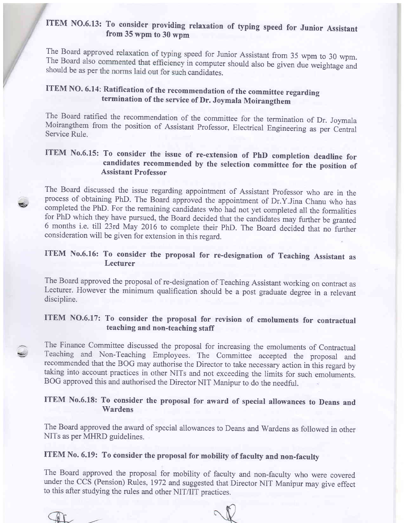# ITEM NO.6.13: To consider providing relaxation of typing speed for Junior Assistant from 35 wpm to 30 wpm

The Board approved relaxation of typing speed for Junior Assistant from 35 wpm to 30 wpm. The Board also commented that efficiency in computer should also be given due weightage and should be as per the norms laid out for

## ITEM NO. 6.14: Ratification of the recommendation of the committee regarding termination of the service of Dr. Joymala Moirangthem

The Board ratified the recommendation of the committee for the termination of Dr. Joymala Moirangthem from the position of Assistant Professor, Electrical Engineering as per Central Service Rule.

#### ITEM No.6.15: To consider the issue of re-extension of PhD completion deadline for candidates recommended by the selection committee for the position of Assistant Professor

The Board discussed the issue regarding appointment of Assistant Professor who are in the process of obtaining PhD. The Board approved the appointment of Dr.Y.Jina Chanu who has completed the PhD. For the remaining candidates who had not yet completed all the formalities for PhD which they have pursued, the Board decided that the candidates may further be granted 6 months i.e. till 23rd May 2016 to complete their PhD. The Board decided that no further consideration will be given for extension in this regard.

#### ITEM No.6.16: To consider the proposal for re-designation of Teaching Assistant as Lecturer

The Board approved the proposal of re-designation of Teaching Assistant working on contract as Lecturer. However the minimum qualification should be a post graduate degree in a relevant discipline.

#### ITEM NO.6.17: To consider the proposal for revision of emoluments for contractual teaching and non-teaching staff

The Finance Committee discussed the proposal for increasing the emoluments of Contractual Teaching and Non-Teaching Employees. The Committee accepted the proposal and recommended that the BOG may authorise the Director to take necessary action in this regard by taking into account practices in other NITs and not exceeding the limits for such emoluments. BOG approved this and authorised the Director NIT Manipur to do the needful.

#### ITEM No.6.18: To consider the proposal for award of special allowances to Deans and Wardens

The Board approved the award of special allowances to Deans and Wardens as followed in other NITs as per MHRD guidelines.

#### ITEM No. 6.19: To consider the proposal for mobility of faculty and non-faculfy

The Board approved the proposal for mobility of faculty and non-faculty who were covered under the CCS (Pension) Rules, 1972 and suggested that Director NIT Manipur may give effect to this after studying the rules and other NIT/IIT practices.

?

-/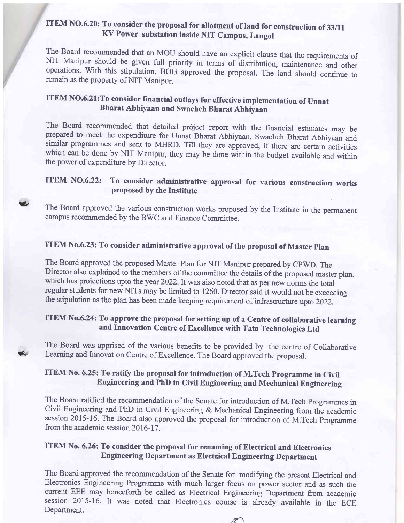# ITEM NO.6.20: To consider the proposal for allotment of land for construction of 33/11<br>KV Power substation inside NIT Campus, Langol

The Board recommended that an MOU should have an explicit clause that the requirements of NIT Manipur should be given full priority in terms of distribution, maintenance and other operations. With this stipulation, BOG app

### ITEM NO.6-21:To consider financial outlays for effective implementation of Unnat Bharat Abhiyaan and Swachch Bharat Abhiyaan

The Board recommended that detailed project report with the financial estimates may be prepared to meet the expenditure for Unnat Bharat Abhiyaan, Swachch Bharat Abhiyaan and similar programmes and sent to MHRD. Till they which can be done by NIT Manipur, they may be done within the budget available and within the power of expenditure by Director.

#### ITEM NO.6.22: To consider administrative approval for various construction works proposed by the Institute

The Board approved the various construction works proposed by the Institute in the permanent campus recommended by the BWC and Finance Committee.

## ITEM No.6.23: To consider administrative approval of the proposal of Master plan

v

a

The Board approved the proposed Master Plan for NIT Manipur prepared by CPWD. The Director also explained to the members of the committee the details of the proposed master plan, which has projections upto the year 2022. It was also noted that as per new norms the total regular students for new NITs may be limited to 1260. Director said it would not be exceeding the stipulation as the plan has been made keeping requirement of infrastructure upto 2022.

#### ITEM No.6.24: To approve the proposal for setting up of a Centre of collaborative learning and Innovation Centre of Excellence with Tata Technologies Ltd

The Board was apprised of the various benefits to be provided by the centre of Collaborative Leaming and Innovation Centre of Excellence. The Board approved the proposal.

#### ITEM No. 6.25: To ratify the proposal for introduction of M.Tech Programme in Civil Engineering and PhD in Civil Engineering and Mechanical Engineering

The Board ratified the recommendation of the Senate for introduction of M.Tech programmes in Civil Engineering and PhD in Civil Engineering & Mechanical Engineering from the academic session 2015-16. The Board also approved the proposal for introduction of M.Tech Programme from the academic session 2016-17.

#### ITEM No. 6.26: To consider the proposal for renaming of Electrical and Electronics Engineering Department as Electrical Engineering Department

The Board approved the recommendation of the Senate for modifying the present Electrical and Electronics Engineering Programme with much larger focus on power sector and as such the current EEE may henceforth be called as Electrical Engineering Deparftnent from academic session 2015-16. It was noted that Electronics course is already available in the ECE Department.

 $\mathscr{K}$